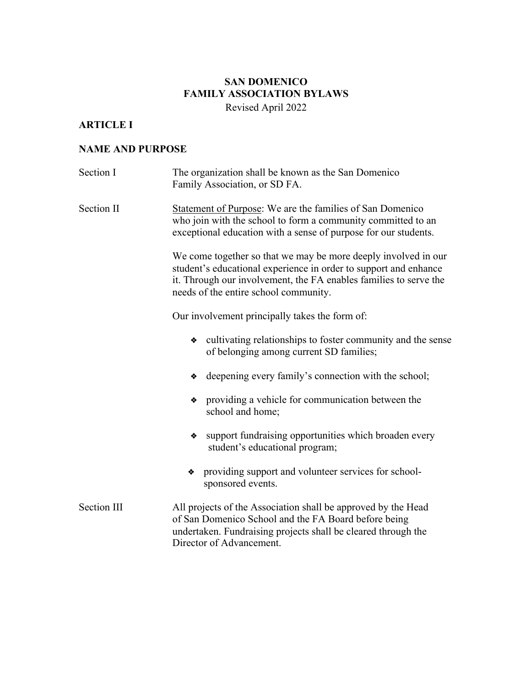# **SAN DOMENICO FAMILY ASSOCIATION BYLAWS**

Revised April 2022

# **ARTICLE I**

## **NAME AND PURPOSE**

| Section I   | The organization shall be known as the San Domenico<br>Family Association, or SD FA.                                                                                                                                                             |
|-------------|--------------------------------------------------------------------------------------------------------------------------------------------------------------------------------------------------------------------------------------------------|
| Section II  | Statement of Purpose: We are the families of San Domenico<br>who join with the school to form a community committed to an<br>exceptional education with a sense of purpose for our students.                                                     |
|             | We come together so that we may be more deeply involved in our<br>student's educational experience in order to support and enhance<br>it. Through our involvement, the FA enables families to serve the<br>needs of the entire school community. |
|             | Our involvement principally takes the form of:                                                                                                                                                                                                   |
|             | cultivating relationships to foster community and the sense<br>❖<br>of belonging among current SD families;                                                                                                                                      |
|             | deepening every family's connection with the school;<br>❖                                                                                                                                                                                        |
|             | providing a vehicle for communication between the<br>❖<br>school and home;                                                                                                                                                                       |
|             | support fundraising opportunities which broaden every<br>❖<br>student's educational program;                                                                                                                                                     |
|             | providing support and volunteer services for school-<br>❖<br>sponsored events.                                                                                                                                                                   |
| Section III | All projects of the Association shall be approved by the Head<br>of San Domenico School and the FA Board before being<br>undertaken. Fundraising projects shall be cleared through the<br>Director of Advancement.                               |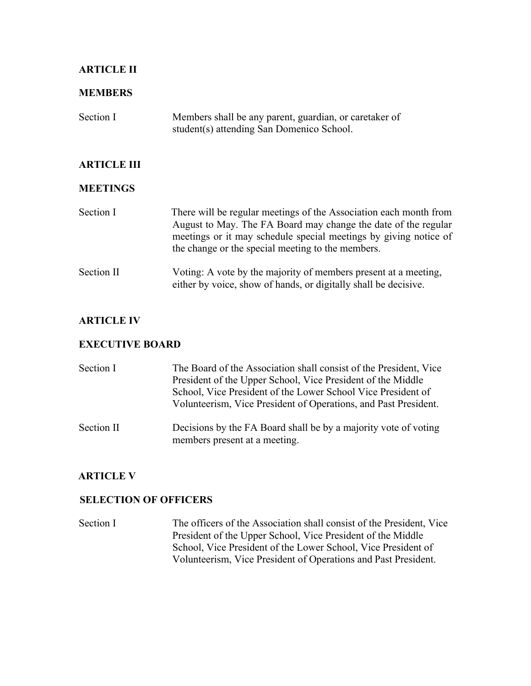## **ARTICLE II**

#### **MEMBERS**

| Section I | Members shall be any parent, guardian, or caretaker of |
|-----------|--------------------------------------------------------|
|           | student (s) attending San Domenico School.             |

## **ARTICLE III**

#### **MEETINGS**

| Section I | There will be regular meetings of the Association each month from |
|-----------|-------------------------------------------------------------------|
|           | August to May. The FA Board may change the date of the regular    |
|           | meetings or it may schedule special meetings by giving notice of  |
|           | the change or the special meeting to the members.                 |
|           |                                                                   |

Section II Voting: A vote by the majority of members present at a meeting, either by voice, show of hands, or digitally shall be decisive.

#### **ARTICLE IV**

#### **EXECUTIVE BOARD**

| Section I  | The Board of the Association shall consist of the President, Vice<br>President of the Upper School, Vice President of the Middle<br>School, Vice President of the Lower School Vice President of<br>Volunteerism, Vice President of Operations, and Past President. |
|------------|---------------------------------------------------------------------------------------------------------------------------------------------------------------------------------------------------------------------------------------------------------------------|
| Section II | Decisions by the FA Board shall be by a majority vote of voting<br>members present at a meeting.                                                                                                                                                                    |

#### **ARTICLE V**

#### **SELECTION OF OFFICERS**

Section I The officers of the Association shall consist of the President, Vice President of the Upper School, Vice President of the Middle School, Vice President of the Lower School, Vice President of Volunteerism, Vice President of Operations and Past President.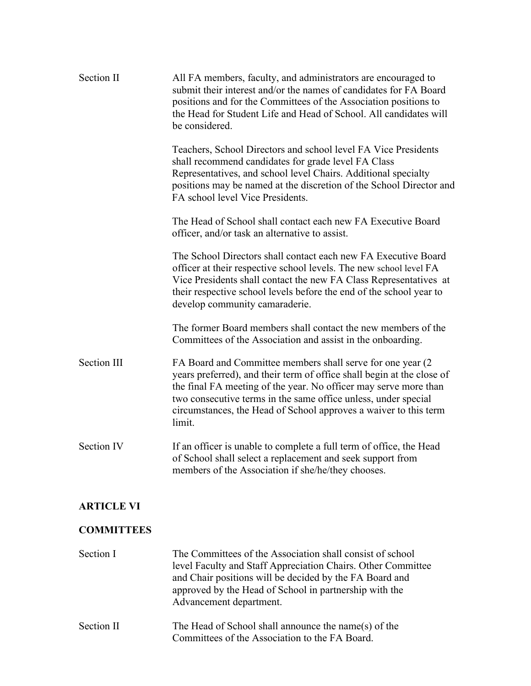| Section II        | All FA members, faculty, and administrators are encouraged to<br>submit their interest and/or the names of candidates for FA Board<br>positions and for the Committees of the Association positions to<br>the Head for Student Life and Head of School. All candidates will<br>be considered.                                                             |
|-------------------|-----------------------------------------------------------------------------------------------------------------------------------------------------------------------------------------------------------------------------------------------------------------------------------------------------------------------------------------------------------|
|                   | Teachers, School Directors and school level FA Vice Presidents<br>shall recommend candidates for grade level FA Class<br>Representatives, and school level Chairs. Additional specialty<br>positions may be named at the discretion of the School Director and<br>FA school level Vice Presidents.                                                        |
|                   | The Head of School shall contact each new FA Executive Board<br>officer, and/or task an alternative to assist.                                                                                                                                                                                                                                            |
|                   | The School Directors shall contact each new FA Executive Board<br>officer at their respective school levels. The new school level FA<br>Vice Presidents shall contact the new FA Class Representatives at<br>their respective school levels before the end of the school year to<br>develop community camaraderie.                                        |
|                   | The former Board members shall contact the new members of the<br>Committees of the Association and assist in the onboarding.                                                                                                                                                                                                                              |
| Section III       | FA Board and Committee members shall serve for one year (2)<br>years preferred), and their term of office shall begin at the close of<br>the final FA meeting of the year. No officer may serve more than<br>two consecutive terms in the same office unless, under special<br>circumstances, the Head of School approves a waiver to this term<br>limit. |
| Section IV        | If an officer is unable to complete a full term of office, the Head<br>of School shall select a replacement and seek support from<br>members of the Association if she/he/they chooses.                                                                                                                                                                   |
| <b>ARTICLE VI</b> |                                                                                                                                                                                                                                                                                                                                                           |
| <b>COMMITTEES</b> |                                                                                                                                                                                                                                                                                                                                                           |
| Section I         | The Committees of the Association shall consist of school<br>level Faculty and Staff Appreciation Chairs. Other Committee<br>and Chair positions will be decided by the FA Board and<br>approved by the Head of School in partnership with the<br>Advancement department.                                                                                 |
| Section II        | The Head of School shall announce the name(s) of the<br>Committees of the Association to the FA Board.                                                                                                                                                                                                                                                    |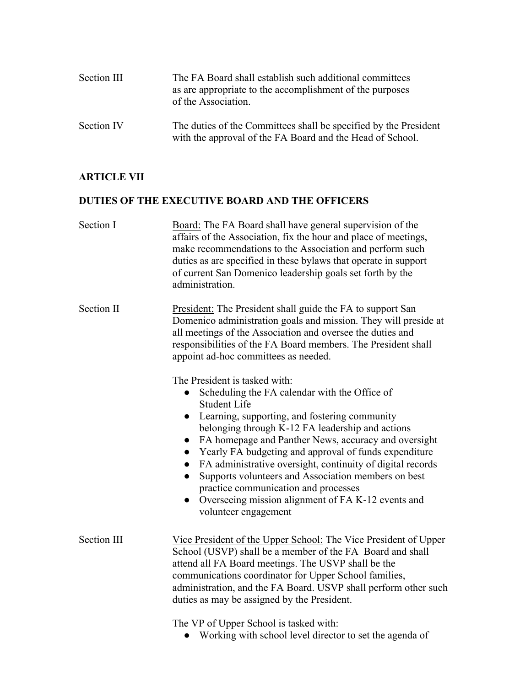| Section III | The FA Board shall establish such additional committees<br>as are appropriate to the accomplishment of the purposes<br>of the Association. |
|-------------|--------------------------------------------------------------------------------------------------------------------------------------------|
| Section IV  | The duties of the Committees shall be specified by the President<br>with the approval of the FA Board and the Head of School.              |

#### **ARTICLE VII**

#### **DUTIES OF THE EXECUTIVE BOARD AND THE OFFICERS**

| Section I | Board: The FA Board shall have general supervision of the        |
|-----------|------------------------------------------------------------------|
|           | affairs of the Association, fix the hour and place of meetings,  |
|           | make recommendations to the Association and perform such         |
|           | duties as are specified in these by laws that operate in support |
|           | of current San Domenico leadership goals set forth by the        |
|           | administration.                                                  |

Section II President: The President shall guide the FA to support San Domenico administration goals and mission. They will preside at all meetings of the Association and oversee the duties and responsibilities of the FA Board members. The President shall appoint ad-hoc committees as needed.

The President is tasked with:

- Scheduling the FA calendar with the Office of Student Life
- Learning, supporting, and fostering community belonging through K-12 FA leadership and actions
- FA homepage and Panther News, accuracy and oversight
- Yearly FA budgeting and approval of funds expenditure
- FA administrative oversight, continuity of digital records
- Supports volunteers and Association members on best practice communication and processes
- Overseeing mission alignment of FA K-12 events and volunteer engagement
- Section III Vice President of the Upper School: The Vice President of Upper School (USVP) shall be a member of the FA Board and shall attend all FA Board meetings. The USVP shall be the communications coordinator for Upper School families, administration, and the FA Board. USVP shall perform other such duties as may be assigned by the President.

The VP of Upper School is tasked with:

• Working with school level director to set the agenda of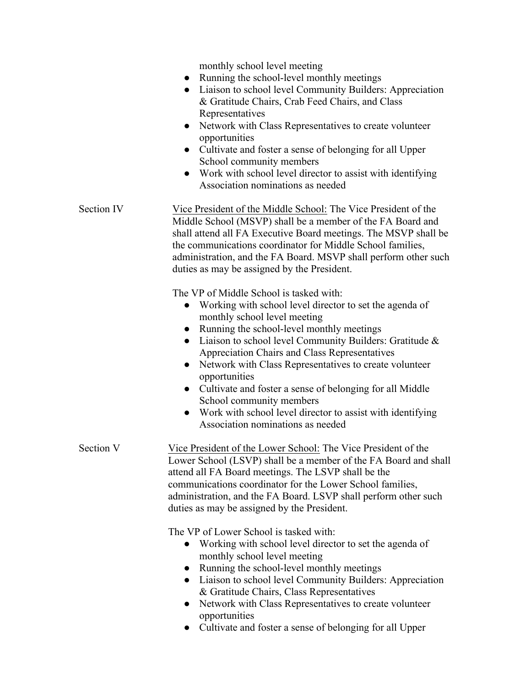monthly school level meeting

- Running the school-level monthly meetings
- Liaison to school level Community Builders: Appreciation & Gratitude Chairs, Crab Feed Chairs, and Class Representatives
- Network with Class Representatives to create volunteer opportunities
- Cultivate and foster a sense of belonging for all Upper School community members
- Work with school level director to assist with identifying Association nominations as needed

#### Section IV Vice President of the Middle School: The Vice President of the Middle School (MSVP) shall be a member of the FA Board and shall attend all FA Executive Board meetings. The MSVP shall be the communications coordinator for Middle School families, administration, and the FA Board. MSVP shall perform other such duties as may be assigned by the President.

The VP of Middle School is tasked with:

- Working with school level director to set the agenda of monthly school level meeting
- Running the school-level monthly meetings
- Liaison to school level Community Builders: Gratitude & Appreciation Chairs and Class Representatives
- Network with Class Representatives to create volunteer opportunities
- Cultivate and foster a sense of belonging for all Middle School community members
- Work with school level director to assist with identifying Association nominations as needed

Section V Vice President of the Lower School: The Vice President of the Lower School (LSVP) shall be a member of the FA Board and shall attend all FA Board meetings. The LSVP shall be the communications coordinator for the Lower School families, administration, and the FA Board. LSVP shall perform other such duties as may be assigned by the President.

The VP of Lower School is tasked with:

- Working with school level director to set the agenda of monthly school level meeting
- Running the school-level monthly meetings
- Liaison to school level Community Builders: Appreciation & Gratitude Chairs, Class Representatives
- Network with Class Representatives to create volunteer opportunities
- Cultivate and foster a sense of belonging for all Upper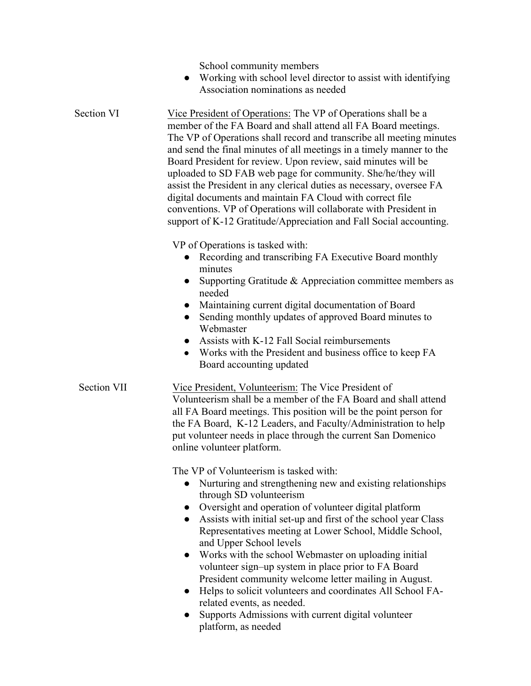School community members

• Working with school level director to assist with identifying Association nominations as needed

Section VI Vice President of Operations: The VP of Operations shall be a member of the FA Board and shall attend all FA Board meetings. The VP of Operations shall record and transcribe all meeting minutes and send the final minutes of all meetings in a timely manner to the Board President for review. Upon review, said minutes will be uploaded to SD FAB web page for community. She/he/they will assist the President in any clerical duties as necessary, oversee FA digital documents and maintain FA Cloud with correct file conventions. VP of Operations will collaborate with President in support of K-12 Gratitude/Appreciation and Fall Social accounting.

VP of Operations is tasked with:

- Recording and transcribing FA Executive Board monthly minutes
- Supporting Gratitude & Appreciation committee members as needed
- Maintaining current digital documentation of Board
- Sending monthly updates of approved Board minutes to Webmaster
- Assists with K-12 Fall Social reimbursements
- Works with the President and business office to keep FA Board accounting updated

# Section VII Vice President, Volunteerism: The Vice President of

Volunteerism shall be a member of the FA Board and shall attend all FA Board meetings. This position will be the point person for the FA Board, K-12 Leaders, and Faculty/Administration to help put volunteer needs in place through the current San Domenico online volunteer platform.

The VP of Volunteerism is tasked with:

- Nurturing and strengthening new and existing relationships through SD volunteerism
- Oversight and operation of volunteer digital platform
- Assists with initial set-up and first of the school year Class Representatives meeting at Lower School, Middle School, and Upper School levels
- Works with the school Webmaster on uploading initial volunteer sign–up system in place prior to FA Board President community welcome letter mailing in August.
- Helps to solicit volunteers and coordinates All School FArelated events, as needed.
- Supports Admissions with current digital volunteer platform, as needed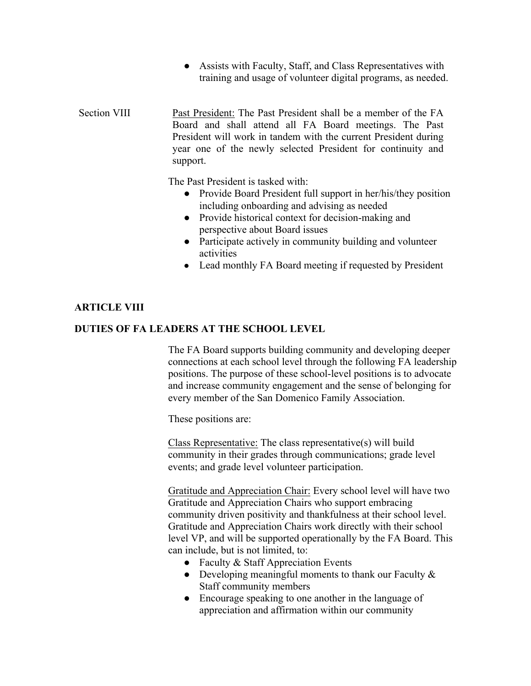- Assists with Faculty, Staff, and Class Representatives with training and usage of volunteer digital programs, as needed.
- Section VIII Past President: The Past President shall be a member of the FA Board and shall attend all FA Board meetings. The Past President will work in tandem with the current President during year one of the newly selected President for continuity and support.

The Past President is tasked with:

- Provide Board President full support in her/his/they position including onboarding and advising as needed
- Provide historical context for decision-making and perspective about Board issues
- Participate actively in community building and volunteer activities
- Lead monthly FA Board meeting if requested by President

#### **ARTICLE VIII**

#### **DUTIES OF FA LEADERS AT THE SCHOOL LEVEL**

The FA Board supports building community and developing deeper connections at each school level through the following FA leadership positions. The purpose of these school-level positions is to advocate and increase community engagement and the sense of belonging for every member of the San Domenico Family Association.

These positions are:

Class Representative: The class representative(s) will build community in their grades through communications; grade level events; and grade level volunteer participation.

Gratitude and Appreciation Chair: Every school level will have two Gratitude and Appreciation Chairs who support embracing community driven positivity and thankfulness at their school level. Gratitude and Appreciation Chairs work directly with their school level VP, and will be supported operationally by the FA Board. This can include, but is not limited, to:

- Faculty  $&$  Staff Appreciation Events
- Developing meaningful moments to thank our Faculty  $\&$ Staff community members
- Encourage speaking to one another in the language of appreciation and affirmation within our community